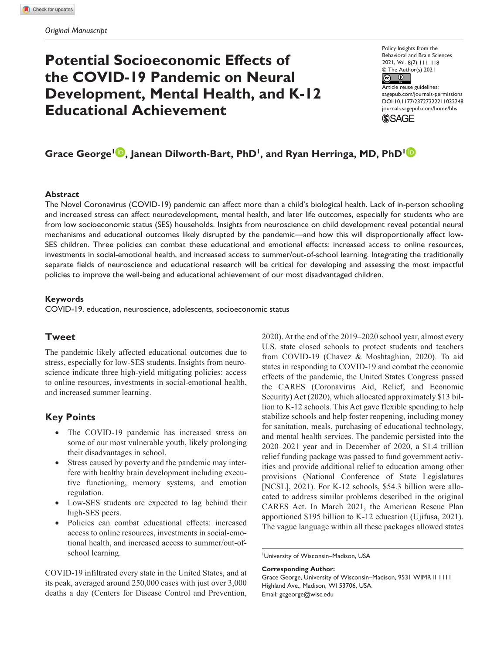# **Potential Socioeconomic Effects of the COVID-19 Pandemic on Neural Development, Mental Health, and K-12 Educational Achievement**

Policy Insights from the Behavioral and Brain Sciences 2021, Vol. 8(2) 111–118© The Author(s) 2021  $\circ$   $\circ$ Article reuse guidelines: [sagepub.com/journals-permissions](https://us.sagepub.com/en-us/journals-permissions) https://doi.org/10.1177/23727322211032248 DOI: 10.1177/23727322211032248 [journals.sagepub.com/home/bbs](https://journals.sagepub.com/home/
bbs)

**SSAGE** 

# Grace George<sup>1</sup> **D**, Janean Dilworth-Bart, PhD<sup>1</sup>, and Ryan Herringa, MD, PhD<sup>1</sup>

#### **Abstract**

The Novel Coronavirus (COVID-19) pandemic can affect more than a child's biological health. Lack of in-person schooling and increased stress can affect neurodevelopment, mental health, and later life outcomes, especially for students who are from low socioeconomic status (SES) households. Insights from neuroscience on child development reveal potential neural mechanisms and educational outcomes likely disrupted by the pandemic—and how this will disproportionally affect low-SES children. Three policies can combat these educational and emotional effects: increased access to online resources, investments in social-emotional health, and increased access to summer/out-of-school learning. Integrating the traditionally separate fields of neuroscience and educational research will be critical for developing and assessing the most impactful policies to improve the well-being and educational achievement of our most disadvantaged children.

#### **Keywords**

COVID-19, education, neuroscience, adolescents, socioeconomic status

#### **Tweet**

The pandemic likely affected educational outcomes due to stress, especially for low-SES students. Insights from neuroscience indicate three high-yield mitigating policies: access to online resources, investments in social-emotional health, and increased summer learning.

#### **Key Points**

- The COVID-19 pandemic has increased stress on some of our most vulnerable youth, likely prolonging their disadvantages in school.
- Stress caused by poverty and the pandemic may interfere with healthy brain development including executive functioning, memory systems, and emotion regulation.
- Low-SES students are expected to lag behind their high-SES peers.
- Policies can combat educational effects: increased access to online resources, investments in social-emotional health, and increased access to summer/out-ofschool learning.

COVID-19 infiltrated every state in the United States, and at its peak, averaged around 250,000 cases with just over 3,000 deaths a day (Centers for Disease Control and Prevention, 2020). At the end of the 2019–2020 school year, almost every U.S. state closed schools to protect students and teachers from COVID-19 (Chavez & Moshtaghian, 2020). To aid states in responding to COVID-19 and combat the economic effects of the pandemic, the United States Congress passed the CARES (Coronavirus Aid, Relief, and Economic Security) Act (2020), which allocated approximately \$13 billion to K-12 schools. This Act gave flexible spending to help stabilize schools and help foster reopening, including money for sanitation, meals, purchasing of educational technology, and mental health services. The pandemic persisted into the 2020–2021 year and in December of 2020, a \$1.4 trillion relief funding package was passed to fund government activities and provide additional relief to education among other provisions (National Conference of State Legislatures [NCSL], 2021). For K-12 schools, \$54.3 billion were allocated to address similar problems described in the original CARES Act. In March 2021, the American Rescue Plan apportioned \$195 billion to K-12 education (Ujifusa, 2021). The vague language within all these packages allowed states

1 University of Wisconsin–Madison, USA

#### **Corresponding Author:**

Grace George, University of Wisconsin–Madison, 9531 WIMR II 1111 Highland Ave., Madison, WI 53706, USA. Email: [gcgeorge@wisc.edu](mailto:gcgeorge@wisc.edu)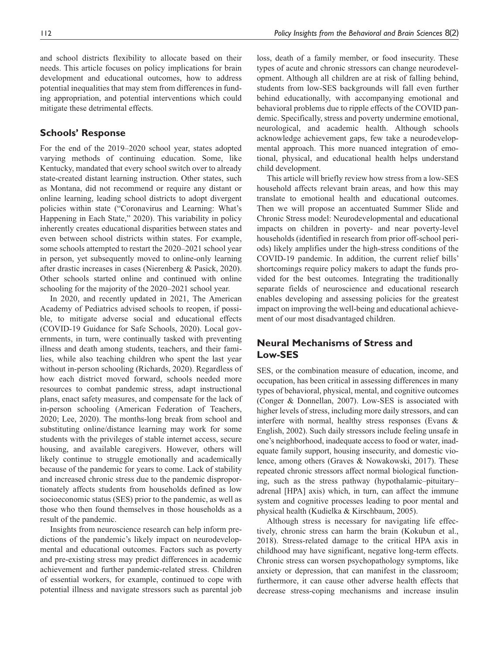and school districts flexibility to allocate based on their needs. This article focuses on policy implications for brain development and educational outcomes, how to address potential inequalities that may stem from differences in funding appropriation, and potential interventions which could mitigate these detrimental effects.

#### **Schools' Response**

For the end of the 2019–2020 school year, states adopted varying methods of continuing education. Some, like Kentucky, mandated that every school switch over to already state-created distant learning instruction. Other states, such as Montana, did not recommend or require any distant or online learning, leading school districts to adopt divergent policies within state ("Coronavirus and Learning: What's Happening in Each State," 2020). This variability in policy inherently creates educational disparities between states and even between school districts within states. For example, some schools attempted to restart the 2020–2021 school year in person, yet subsequently moved to online-only learning after drastic increases in cases (Nierenberg & Pasick, 2020). Other schools started online and continued with online schooling for the majority of the 2020–2021 school year.

In 2020, and recently updated in 2021, The American Academy of Pediatrics advised schools to reopen, if possible, to mitigate adverse social and educational effects (COVID-19 Guidance for Safe Schools, 2020). Local governments, in turn, were continually tasked with preventing illness and death among students, teachers, and their families, while also teaching children who spent the last year without in-person schooling (Richards, 2020). Regardless of how each district moved forward, schools needed more resources to combat pandemic stress, adapt instructional plans, enact safety measures, and compensate for the lack of in-person schooling (American Federation of Teachers, 2020; Lee, 2020). The months-long break from school and substituting online/distance learning may work for some students with the privileges of stable internet access, secure housing, and available caregivers. However, others will likely continue to struggle emotionally and academically because of the pandemic for years to come. Lack of stability and increased chronic stress due to the pandemic disproportionately affects students from households defined as low socioeconomic status (SES) prior to the pandemic, as well as those who then found themselves in those households as a result of the pandemic.

Insights from neuroscience research can help inform predictions of the pandemic's likely impact on neurodevelopmental and educational outcomes. Factors such as poverty and pre-existing stress may predict differences in academic achievement and further pandemic-related stress. Children of essential workers, for example, continued to cope with potential illness and navigate stressors such as parental job loss, death of a family member, or food insecurity. These types of acute and chronic stressors can change neurodevelopment. Although all children are at risk of falling behind, students from low-SES backgrounds will fall even further behind educationally, with accompanying emotional and behavioral problems due to ripple effects of the COVID pandemic. Specifically, stress and poverty undermine emotional, neurological, and academic health. Although schools acknowledge achievement gaps, few take a neurodevelopmental approach. This more nuanced integration of emotional, physical, and educational health helps understand child development.

This article will briefly review how stress from a low-SES household affects relevant brain areas, and how this may translate to emotional health and educational outcomes. Then we will propose an accentuated Summer Slide and Chronic Stress model: Neurodevelopmental and educational impacts on children in poverty- and near poverty-level households (identified in research from prior off-school periods) likely amplifies under the high-stress conditions of the COVID-19 pandemic. In addition, the current relief bills' shortcomings require policy makers to adapt the funds provided for the best outcomes. Integrating the traditionally separate fields of neuroscience and educational research enables developing and assessing policies for the greatest impact on improving the well-being and educational achievement of our most disadvantaged children.

# **Neural Mechanisms of Stress and Low-SES**

SES, or the combination measure of education, income, and occupation, has been critical in assessing differences in many types of behavioral, physical, mental, and cognitive outcomes (Conger & Donnellan, 2007). Low-SES is associated with higher levels of stress, including more daily stressors, and can interfere with normal, healthy stress responses (Evans & English, 2002). Such daily stressors include feeling unsafe in one's neighborhood, inadequate access to food or water, inadequate family support, housing insecurity, and domestic violence, among others (Graves & Nowakowski, 2017). These repeated chronic stressors affect normal biological functioning, such as the stress pathway (hypothalamic–pituitary– adrenal [HPA] axis) which, in turn, can affect the immune system and cognitive processes leading to poor mental and physical health (Kudielka & Kirschbaum, 2005).

Although stress is necessary for navigating life effectively, chronic stress can harm the brain (Kokubun et al., 2018). Stress-related damage to the critical HPA axis in childhood may have significant, negative long-term effects. Chronic stress can worsen psychopathology symptoms, like anxiety or depression, that can manifest in the classroom; furthermore, it can cause other adverse health effects that decrease stress-coping mechanisms and increase insulin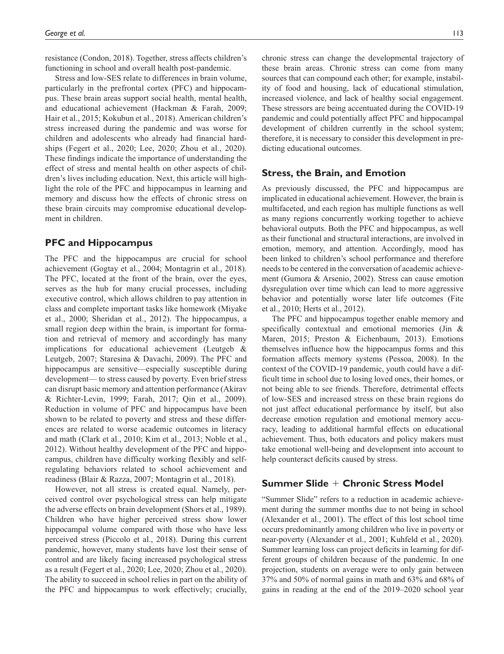resistance (Condon, 2018). Together, stress affects children's functioning in school and overall health post-pandemic.

Stress and low-SES relate to differences in brain volume, particularly in the prefrontal cortex (PFC) and hippocampus. These brain areas support social health, mental health, and educational achievement (Hackman & Farah, 2009; Hair et al., 2015; Kokubun et al., 2018). American children's stress increased during the pandemic and was worse for children and adolescents who already had financial hardships (Fegert et al., 2020; Lee, 2020; Zhou et al., 2020). These findings indicate the importance of understanding the effect of stress and mental health on other aspects of children's lives including education. Next, this article will highlight the role of the PFC and hippocampus in learning and memory and discuss how the effects of chronic stress on these brain circuits may compromise educational development in children.

### **PFC and Hippocampus**

The PFC and the hippocampus are crucial for school achievement (Gogtay et al., 2004; Montagrin et al., 2018). The PFC, located at the front of the brain, over the eyes, serves as the hub for many crucial processes, including executive control, which allows children to pay attention in class and complete important tasks like homework (Miyake et al., 2000; Sheridan et al., 2012). The hippocampus, a small region deep within the brain, is important for formation and retrieval of memory and accordingly has many implications for educational achievement (Leutgeb & Leutgeb, 2007; Staresina & Davachi, 2009). The PFC and hippocampus are sensitive—especially susceptible during development— to stress caused by poverty. Even brief stress can disrupt basic memory and attention performance (Akirav & Richter-Levin, 1999; Farah, 2017; Qin et al., 2009). Reduction in volume of PFC and hippocampus have been shown to be related to poverty and stress and these differences are related to worse academic outcomes in literacy and math (Clark et al., 2010; Kim et al., 2013; Noble et al., 2012). Without healthy development of the PFC and hippocampus, children have difficulty working flexibly and selfregulating behaviors related to school achievement and readiness (Blair & Razza, 2007; Montagrin et al., 2018).

However, not all stress is created equal. Namely, perceived control over psychological stress can help mitigate the adverse effects on brain development (Shors et al., 1989). Children who have higher perceived stress show lower hippocampal volume compared with those who have less perceived stress (Piccolo et al., 2018). During this current pandemic, however, many students have lost their sense of control and are likely facing increased psychological stress as a result (Fegert et al., 2020; Lee, 2020; Zhou et al., 2020). The ability to succeed in school relies in part on the ability of the PFC and hippocampus to work effectively; crucially,

chronic stress can change the developmental trajectory of these brain areas. Chronic stress can come from many sources that can compound each other; for example, instability of food and housing, lack of educational stimulation, increased violence, and lack of healthy social engagement. These stressors are being accentuated during the COVID-19 pandemic and could potentially affect PFC and hippocampal development of children currently in the school system; therefore, it is necessary to consider this development in predicting educational outcomes.

#### **Stress, the Brain, and Emotion**

As previously discussed, the PFC and hippocampus are implicated in educational achievement. However, the brain is multifaceted, and each region has multiple functions as well as many regions concurrently working together to achieve behavioral outputs. Both the PFC and hippocampus, as well as their functional and structural interactions, are involved in emotion, memory, and attention. Accordingly, mood has been linked to children's school performance and therefore needs to be centered in the conversation of academic achievement (Gumora & Arsenio, 2002). Stress can cause emotion dysregulation over time which can lead to more aggressive behavior and potentially worse later life outcomes (Fite et al., 2010; Herts et al., 2012).

The PFC and hippocampus together enable memory and specifically contextual and emotional memories (Jin & Maren, 2015; Preston & Eichenbaum, 2013). Emotions themselves influence how the hippocampus forms and this formation affects memory systems (Pessoa, 2008). In the context of the COVID-19 pandemic, youth could have a difficult time in school due to losing loved ones, their homes, or not being able to see friends. Therefore, detrimental effects of low-SES and increased stress on these brain regions do not just affect educational performance by itself, but also decrease emotion regulation and emotional memory accuracy, leading to additional harmful effects on educational achievement. Thus, both educators and policy makers must take emotional well-being and development into account to help counteract deficits caused by stress.

#### **Summer Slide** + **Chronic Stress Model**

"Summer Slide" refers to a reduction in academic achievement during the summer months due to not being in school (Alexander et al., 2001). The effect of this lost school time occurs predominantly among children who live in poverty or near-poverty (Alexander et al., 2001; Kuhfeld et al., 2020). Summer learning loss can project deficits in learning for different groups of children because of the pandemic. In one projection, students on average were to only gain between 37% and 50% of normal gains in math and 63% and 68% of gains in reading at the end of the 2019–2020 school year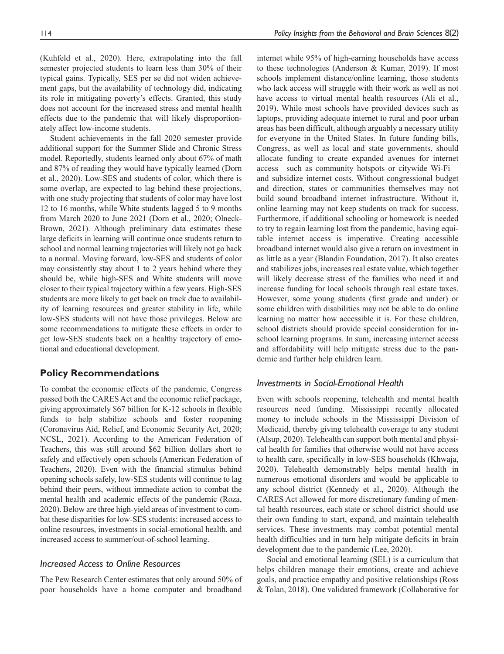(Kuhfeld et al., 2020). Here, extrapolating into the fall semester projected students to learn less than 30% of their typical gains. Typically, SES per se did not widen achievement gaps, but the availability of technology did, indicating its role in mitigating poverty's effects. Granted, this study does not account for the increased stress and mental health effects due to the pandemic that will likely disproportionately affect low-income students.

Student achievements in the fall 2020 semester provide additional support for the Summer Slide and Chronic Stress model. Reportedly, students learned only about 67% of math and 87% of reading they would have typically learned (Dorn et al., 2020). Low-SES and students of color, which there is some overlap, are expected to lag behind these projections, with one study projecting that students of color may have lost 12 to 16 months, while White students lagged 5 to 9 months from March 2020 to June 2021 (Dorn et al., 2020; Olneck-Brown, 2021). Although preliminary data estimates these large deficits in learning will continue once students return to school and normal learning trajectories will likely not go back to a normal. Moving forward, low-SES and students of color may consistently stay about 1 to 2 years behind where they should be, while high-SES and White students will move closer to their typical trajectory within a few years. High-SES students are more likely to get back on track due to availability of learning resources and greater stability in life, while low-SES students will not have those privileges. Below are some recommendations to mitigate these effects in order to get low-SES students back on a healthy trajectory of emotional and educational development.

#### **Policy Recommendations**

To combat the economic effects of the pandemic, Congress passed both the CARES Act and the economic relief package, giving approximately \$67 billion for K-12 schools in flexible funds to help stabilize schools and foster reopening (Coronavirus Aid, Relief, and Economic Security Act, 2020; NCSL, 2021). According to the American Federation of Teachers, this was still around \$62 billion dollars short to safely and effectively open schools (American Federation of Teachers, 2020). Even with the financial stimulus behind opening schools safely, low-SES students will continue to lag behind their peers, without immediate action to combat the mental health and academic effects of the pandemic (Roza, 2020). Below are three high-yield areas of investment to combat these disparities for low-SES students: increased access to online resources, investments in social-emotional health, and increased access to summer/out-of-school learning.

# *Increased Access to Online Resources*

The Pew Research Center estimates that only around 50% of poor households have a home computer and broadband

internet while 95% of high-earning households have access to these technologies (Anderson & Kumar, 2019). If most schools implement distance/online learning, those students who lack access will struggle with their work as well as not have access to virtual mental health resources (Ali et al., 2019). While most schools have provided devices such as laptops, providing adequate internet to rural and poor urban areas has been difficult, although arguably a necessary utility for everyone in the United States. In future funding bills, Congress, as well as local and state governments, should allocate funding to create expanded avenues for internet access—such as community hotspots or citywide Wi-Fi and subsidize internet costs. Without congressional budget and direction, states or communities themselves may not build sound broadband internet infrastructure. Without it, online learning may not keep students on track for success. Furthermore, if additional schooling or homework is needed to try to regain learning lost from the pandemic, having equitable internet access is imperative. Creating accessible broadband internet would also give a return on investment in as little as a year (Blandin Foundation, 2017). It also creates and stabilizes jobs, increases real estate value, which together will likely decrease stress of the families who need it and increase funding for local schools through real estate taxes. However, some young students (first grade and under) or some children with disabilities may not be able to do online learning no matter how accessible it is. For these children, school districts should provide special consideration for inschool learning programs. In sum, increasing internet access and affordability will help mitigate stress due to the pandemic and further help children learn.

#### *Investments in Social-Emotional Health*

Even with schools reopening, telehealth and mental health resources need funding. Mississippi recently allocated money to include schools in the Mississippi Division of Medicaid, thereby giving telehealth coverage to any student (Alsup, 2020). Telehealth can support both mental and physical health for families that otherwise would not have access to health care, specifically in low-SES households (Khwaja, 2020). Telehealth demonstrably helps mental health in numerous emotional disorders and would be applicable to any school district (Kennedy et al., 2020). Although the CARES Act allowed for more discretionary funding of mental health resources, each state or school district should use their own funding to start, expand, and maintain telehealth services. These investments may combat potential mental health difficulties and in turn help mitigate deficits in brain development due to the pandemic (Lee, 2020).

Social and emotional learning (SEL) is a curriculum that helps children manage their emotions, create and achieve goals, and practice empathy and positive relationships (Ross & Tolan, 2018). One validated framework (Collaborative for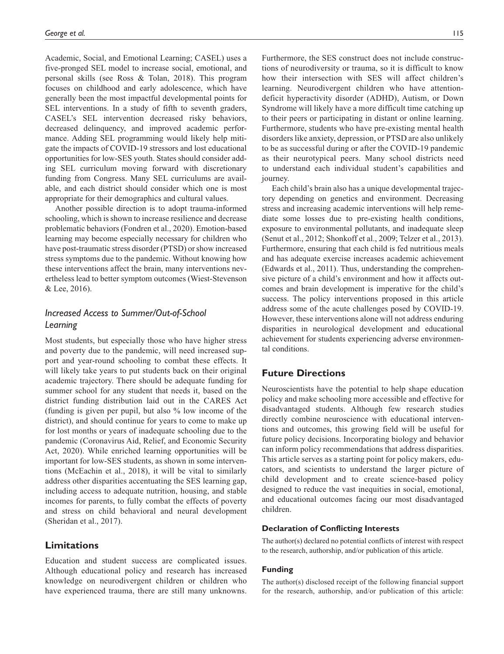Academic, Social, and Emotional Learning; CASEL) uses a five-pronged SEL model to increase social, emotional, and personal skills (see Ross & Tolan, 2018). This program focuses on childhood and early adolescence, which have generally been the most impactful developmental points for SEL interventions. In a study of fifth to seventh graders, CASEL's SEL intervention decreased risky behaviors, decreased delinquency, and improved academic performance. Adding SEL programming would likely help mitigate the impacts of COVID-19 stressors and lost educational opportunities for low-SES youth. States should consider adding SEL curriculum moving forward with discretionary funding from Congress. Many SEL curriculums are available, and each district should consider which one is most appropriate for their demographics and cultural values.

Another possible direction is to adopt trauma-informed schooling, which is shown to increase resilience and decrease problematic behaviors (Fondren et al., 2020). Emotion-based learning may become especially necessary for children who have post-traumatic stress disorder (PTSD) or show increased stress symptoms due to the pandemic. Without knowing how these interventions affect the brain, many interventions nevertheless lead to better symptom outcomes (Wiest-Stevenson & Lee, 2016).

# *Increased Access to Summer/Out-of-School Learning*

Most students, but especially those who have higher stress and poverty due to the pandemic, will need increased support and year-round schooling to combat these effects. It will likely take years to put students back on their original academic trajectory. There should be adequate funding for summer school for any student that needs it, based on the district funding distribution laid out in the CARES Act (funding is given per pupil, but also % low income of the district), and should continue for years to come to make up for lost months or years of inadequate schooling due to the pandemic (Coronavirus Aid, Relief, and Economic Security Act, 2020). While enriched learning opportunities will be important for low-SES students, as shown in some interventions (McEachin et al., 2018), it will be vital to similarly address other disparities accentuating the SES learning gap, including access to adequate nutrition, housing, and stable incomes for parents, to fully combat the effects of poverty and stress on child behavioral and neural development (Sheridan et al., 2017).

# **Limitations**

Education and student success are complicated issues. Although educational policy and research has increased knowledge on neurodivergent children or children who have experienced trauma, there are still many unknowns.

Furthermore, the SES construct does not include constructions of neurodiversity or trauma, so it is difficult to know how their intersection with SES will affect children's learning. Neurodivergent children who have attentiondeficit hyperactivity disorder (ADHD), Autism, or Down Syndrome will likely have a more difficult time catching up to their peers or participating in distant or online learning. Furthermore, students who have pre-existing mental health disorders like anxiety, depression, or PTSD are also unlikely to be as successful during or after the COVID-19 pandemic as their neurotypical peers. Many school districts need to understand each individual student's capabilities and journey.

Each child's brain also has a unique developmental trajectory depending on genetics and environment. Decreasing stress and increasing academic interventions will help remediate some losses due to pre-existing health conditions, exposure to environmental pollutants, and inadequate sleep (Senut et al., 2012; Shonkoff et al., 2009; Telzer et al., 2013). Furthermore, ensuring that each child is fed nutritious meals and has adequate exercise increases academic achievement (Edwards et al., 2011). Thus, understanding the comprehensive picture of a child's environment and how it affects outcomes and brain development is imperative for the child's success. The policy interventions proposed in this article address some of the acute challenges posed by COVID-19. However, these interventions alone will not address enduring disparities in neurological development and educational achievement for students experiencing adverse environmental conditions.

### **Future Directions**

Neuroscientists have the potential to help shape education policy and make schooling more accessible and effective for disadvantaged students. Although few research studies directly combine neuroscience with educational interventions and outcomes, this growing field will be useful for future policy decisions. Incorporating biology and behavior can inform policy recommendations that address disparities. This article serves as a starting point for policy makers, educators, and scientists to understand the larger picture of child development and to create science-based policy designed to reduce the vast inequities in social, emotional, and educational outcomes facing our most disadvantaged children.

#### **Declaration of Conflicting Interests**

The author(s) declared no potential conflicts of interest with respect to the research, authorship, and/or publication of this article.

#### **Funding**

The author(s) disclosed receipt of the following financial support for the research, authorship, and/or publication of this article: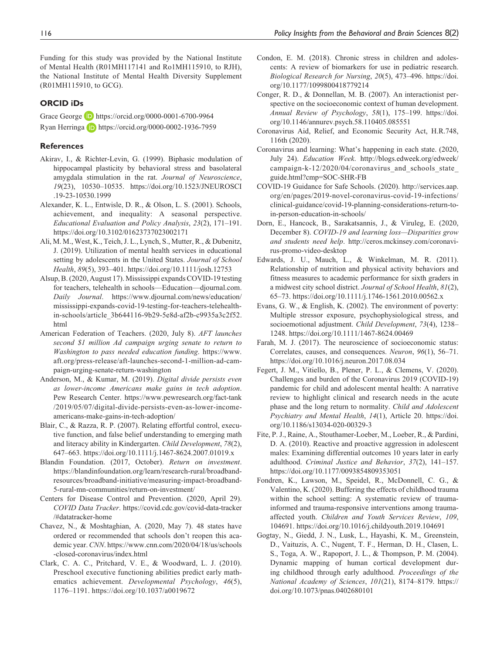Funding for this study was provided by the National Institute of Mental Health (R01MH117141 and Ro1MH115910, to RJH), the National Institute of Mental Health Diversity Supplement (R01MH115910, to GCG).

#### **ORCID iDs**

Grace George **D** <https://orcid.org/0000-0001-6700-9964> Ryan Herringa **b** <https://orcid.org/0000-0002-1936-7959>

#### **References**

- Akirav, I., & Richter-Levin, G. (1999). Biphasic modulation of hippocampal plasticity by behavioral stress and basolateral amygdala stimulation in the rat. *Journal of Neuroscience*, *19*(23), 10530–10535. [https://doi.org/10.1523/JNEUROSCI](https://doi.org/10.1523/JNEUROSCI.19-23-10530.1999) [.19-23-10530.1999](https://doi.org/10.1523/JNEUROSCI.19-23-10530.1999)
- Alexander, K. L., Entwisle, D. R., & Olson, L. S. (2001). Schools, achievement, and inequality: A seasonal perspective. *Educational Evaluation and Policy Analysis*, *23*(2), 171–191. <https://doi.org/10.3102/01623737023002171>
- Ali, M. M., West, K., Teich, J. L., Lynch, S., Mutter, R., & Dubenitz, J. (2019). Utilization of mental health services in educational setting by adolescents in the United States. *Journal of School Health*, *89*(5), 393–401. <https://doi.org/10.1111/josh.12753>
- Alsup, B. (2020, August 17). Mississippi expands COVID-19 testing for teachers, telehealth in schools—Education—djournal.com. *Daily Journal*. [https://www.djournal.com/news/education/](https://www.djournal.com/news/education/mississippi-expands-covid-19-testing-for-teachers-telehealth-in-schools/article_3b644116-9b29-5e8d-af2b-c9935a3c2f52.html) [mississippi-expands-covid-19-testing-for-teachers-telehealth](https://www.djournal.com/news/education/mississippi-expands-covid-19-testing-for-teachers-telehealth-in-schools/article_3b644116-9b29-5e8d-af2b-c9935a3c2f52.html)[in-schools/article\\_3b644116-9b29-5e8d-af2b-c9935a3c2f52.](https://www.djournal.com/news/education/mississippi-expands-covid-19-testing-for-teachers-telehealth-in-schools/article_3b644116-9b29-5e8d-af2b-c9935a3c2f52.html) [html](https://www.djournal.com/news/education/mississippi-expands-covid-19-testing-for-teachers-telehealth-in-schools/article_3b644116-9b29-5e8d-af2b-c9935a3c2f52.html)
- American Federation of Teachers. (2020, July 8). *AFT launches second \$1 million Ad campaign urging senate to return to Washington to pass needed education funding*. [https://www.](https://www.aft.org/press-release/aft-launches-second-1-million-ad-campaign-urging-senate-return-washington) [aft.org/press-release/aft-launches-second-1-million-ad-cam](https://www.aft.org/press-release/aft-launches-second-1-million-ad-campaign-urging-senate-return-washington)[paign-urging-senate-return-washington](https://www.aft.org/press-release/aft-launches-second-1-million-ad-campaign-urging-senate-return-washington)
- Anderson, M., & Kumar, M. (2019). *Digital divide persists even as lower-income Americans make gains in tech adoption*. Pew Research Center. [https://www.pewresearch.org/fact-tank](https://www.pewresearch.org/fact-tank/2019/05/07/digital-divide-persists-even-as-lower-income-americans-make-gains-in-tech-adoption/) [/2019/05/07/digital-divide-persists-even-as-lower-income](https://www.pewresearch.org/fact-tank/2019/05/07/digital-divide-persists-even-as-lower-income-americans-make-gains-in-tech-adoption/)[americans-make-gains-in-tech-adoption/](https://www.pewresearch.org/fact-tank/2019/05/07/digital-divide-persists-even-as-lower-income-americans-make-gains-in-tech-adoption/)
- Blair, C., & Razza, R. P. (2007). Relating effortful control, executive function, and false belief understanding to emerging math and literacy ability in Kindergarten. *Child Development*, *78*(2), 647–663.<https://doi.org/10.1111/j.1467-8624.2007.01019.x>
- Blandin Foundation. (2017, October). *Return on investment*. [https://blandinfoundation.org/learn/research-rural/broadband](https://blandinfoundation.org/learn/research-rural/broadband-resources/broadband-initiative/measuring-impact-broadband-5-rural-mn-communities/return-on-investment/)[resources/broadband-initiative/measuring-impact-broadband-](https://blandinfoundation.org/learn/research-rural/broadband-resources/broadband-initiative/measuring-impact-broadband-5-rural-mn-communities/return-on-investment/)[5-rural-mn-communities/return-on-investment/](https://blandinfoundation.org/learn/research-rural/broadband-resources/broadband-initiative/measuring-impact-broadband-5-rural-mn-communities/return-on-investment/)
- Centers for Disease Control and Prevention. (2020, April 29). *COVID Data Tracker*. [https://covid.cdc.gov/covid-data-tracker](https://covid.cdc.gov/covid-data-tracker/#datatracker-home) [/#datatracker-home](https://covid.cdc.gov/covid-data-tracker/#datatracker-home)
- Chavez, N., & Moshtaghian, A. (2020, May 7). 48 states have ordered or recommended that schools don't reopen this academic year. *CNN*. [https://www.cnn.com/2020/04/18/us/schools](https://www.cnn.com/2020/04/18/us/schools-closed-coronavirus/index.html) [-closed-coronavirus/index.html](https://www.cnn.com/2020/04/18/us/schools-closed-coronavirus/index.html)
- Clark, C. A. C., Pritchard, V. E., & Woodward, L. J. (2010). Preschool executive functioning abilities predict early mathematics achievement. *Developmental Psychology*, *46*(5), 1176–1191. <https://doi.org/10.1037/a0019672>
- Condon, E. M. (2018). Chronic stress in children and adolescents: A review of biomarkers for use in pediatric research. *Biological Research for Nursing*, *20*(5), 473–496. [https://doi.](https://doi.org/10.1177/1099800418779214) [org/10.1177/1099800418779214](https://doi.org/10.1177/1099800418779214)
- Conger, R. D., & Donnellan, M. B. (2007). An interactionist perspective on the socioeconomic context of human development. *Annual Review of Psychology*, *58*(1), 175–199. [https://doi.](https://doi.org/10.1146/annurev.psych.58.110405.085551) [org/10.1146/annurev.psych.58.110405.085551](https://doi.org/10.1146/annurev.psych.58.110405.085551)
- Coronavirus Aid, Relief, and Economic Security Act, H.R.748, 116th (2020).
- Coronavirus and learning: What's happening in each state. (2020, July 24). *Education Week*. [http://blogs.edweek.org/edweek/](http://blogs.edweek.org/edweek/campaign-k-12/2020/04/coronavirus_and_schools_state_guide.html?cmp=SOC-SHR-FB) campaign-k-12/2020/04/coronavirus and schools state [guide.html?cmp=SOC-SHR-FB](http://blogs.edweek.org/edweek/campaign-k-12/2020/04/coronavirus_and_schools_state_guide.html?cmp=SOC-SHR-FB)
- COVID-19 Guidance for Safe Schools. (2020). [http://services.aap.](http://services.aap.org/en/pages/2019-novel-coronavirus-covid-19-infections/clinical-guidance/covid-19-planning-considerations-return-to-in-person-education-in-schools/) [org/en/pages/2019-novel-coronavirus-covid-19-infections/](http://services.aap.org/en/pages/2019-novel-coronavirus-covid-19-infections/clinical-guidance/covid-19-planning-considerations-return-to-in-person-education-in-schools/) [clinical-guidance/covid-19-planning-considerations-return-to](http://services.aap.org/en/pages/2019-novel-coronavirus-covid-19-infections/clinical-guidance/covid-19-planning-considerations-return-to-in-person-education-in-schools/)[in-person-education-in-schools/](http://services.aap.org/en/pages/2019-novel-coronavirus-covid-19-infections/clinical-guidance/covid-19-planning-considerations-return-to-in-person-education-in-schools/)
- Dorn, E., Hancock, B., Sarakatsannis, J., & Viruleg, E. (2020, December 8). *COVID-19 and learning loss—Disparities grow and students need help*. [http://ceros.mckinsey.com/coronavi](http://ceros.mckinsey.com/coronavirus-promo-video-desktop)[rus-promo-video-desktop](http://ceros.mckinsey.com/coronavirus-promo-video-desktop)
- Edwards, J. U., Mauch, L., & Winkelman, M. R. (2011). Relationship of nutrition and physical activity behaviors and fitness measures to academic performance for sixth graders in a midwest city school district. *Journal of School Health*, *81*(2), 65–73.<https://doi.org/10.1111/j.1746-1561.2010.00562.x>
- Evans, G. W., & English, K. (2002). The environment of poverty: Multiple stressor exposure, psychophysiological stress, and socioemotional adjustment. *Child Development*, *73*(4), 1238– 1248.<https://doi.org/10.1111/1467-8624.00469>
- Farah, M. J. (2017). The neuroscience of socioeconomic status: Correlates, causes, and consequences. *Neuron*, *96*(1), 56–71. <https://doi.org/10.1016/j.neuron.2017.08.034>
- Fegert, J. M., Vitiello, B., Plener, P. L., & Clemens, V. (2020). Challenges and burden of the Coronavirus 2019 (COVID-19) pandemic for child and adolescent mental health: A narrative review to highlight clinical and research needs in the acute phase and the long return to normality. *Child and Adolescent Psychiatry and Mental Health*, *14*(1), Article 20. [https://doi.](https://doi.org/10.1186/s13034-020-00329-3) [org/10.1186/s13034-020-00329-3](https://doi.org/10.1186/s13034-020-00329-3)
- Fite, P. J., Raine, A., Stouthamer-Loeber, M., Loeber, R., & Pardini, D. A. (2010). Reactive and proactive aggression in adolescent males: Examining differential outcomes 10 years later in early adulthood. *Criminal Justice and Behavior*, *37*(2), 141–157. <https://doi.org/10.1177/0093854809353051>
- Fondren, K., Lawson, M., Speidel, R., McDonnell, C. G., & Valentino, K. (2020). Buffering the effects of childhood trauma within the school setting: A systematic review of traumainformed and trauma-responsive interventions among traumaaffected youth. *Children and Youth Services Review*, *109*, 104691.<https://doi.org/10.1016/j.childyouth.2019.104691>
- Gogtay, N., Giedd, J. N., Lusk, L., Hayashi, K. M., Greenstein, D., Vaituzis, A. C., Nugent, T. F., Herman, D. H., Clasen, L. S., Toga, A. W., Rapoport, J. L., & Thompson, P. M. (2004). Dynamic mapping of human cortical development during childhood through early adulthood. *Proceedings of the National Academy of Sciences*, *101*(21), 8174–8179. [https://](https://doi.org/10.1073/pnas.0402680101) [doi.org/10.1073/pnas.0402680101](https://doi.org/10.1073/pnas.0402680101)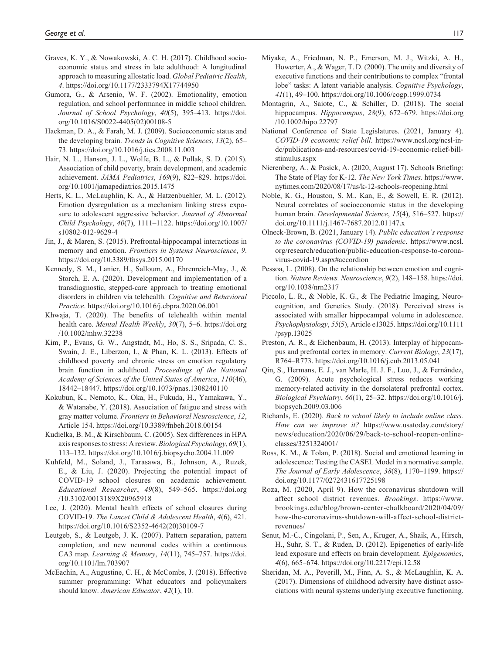- Graves, K. Y., & Nowakowski, A. C. H. (2017). Childhood socioeconomic status and stress in late adulthood: A longitudinal approach to measuring allostatic load. *Global Pediatric Health*, *4*.<https://doi.org/10.1177/2333794X17744950>
- Gumora, G., & Arsenio, W. F. (2002). Emotionality, emotion regulation, and school performance in middle school children. *Journal of School Psychology*, *40*(5), 395–413. [https://doi.](https://doi.org/10.1016/S0022-4405(02)00108-5) [org/10.1016/S0022-4405\(02\)00108-5](https://doi.org/10.1016/S0022-4405(02)00108-5)
- Hackman, D. A., & Farah, M. J. (2009). Socioeconomic status and the developing brain. *Trends in Cognitive Sciences*, *13*(2), 65– 73. <https://doi.org/10.1016/j.tics.2008.11.003>
- Hair, N. L., Hanson, J. L., Wolfe, B. L., & Pollak, S. D. (2015). Association of child poverty, brain development, and academic achievement. *JAMA Pediatrics*, *169*(9), 822–829. [https://doi.](https://doi.org/10.1001/jamapediatrics.2015.1475) [org/10.1001/jamapediatrics.2015.1475](https://doi.org/10.1001/jamapediatrics.2015.1475)
- Herts, K. L., McLaughlin, K. A., & Hatzenbuehler, M. L. (2012). Emotion dysregulation as a mechanism linking stress exposure to adolescent aggressive behavior. *Journal of Abnormal Child Psychology*, *40*(7), 1111–1122. [https://doi.org/10.1007/](https://doi.org/10.1007/s10802-012-9629-4) [s10802-012-9629-4](https://doi.org/10.1007/s10802-012-9629-4)
- Jin, J., & Maren, S. (2015). Prefrontal-hippocampal interactions in memory and emotion. *Frontiers in Systems Neuroscience*, *9*. <https://doi.org/10.3389/fnsys.2015.00170>
- Kennedy, S. M., Lanier, H., Salloum, A., Ehrenreich-May, J., & Storch, E. A. (2020). Development and implementation of a transdiagnostic, stepped-care approach to treating emotional disorders in children via telehealth. *Cognitive and Behavioral Practice*. <https://doi.org/10.1016/j.cbpra.2020.06.001>
- Khwaja, T. (2020). The benefits of telehealth within mental health care. *Mental Health Weekly*, *30*(7), 5–6. [https://doi.org](https://doi.org/10.1002/mhw.32238) [/10.1002/mhw.32238](https://doi.org/10.1002/mhw.32238)
- Kim, P., Evans, G. W., Angstadt, M., Ho, S. S., Sripada, C. S., Swain, J. E., Liberzon, I., & Phan, K. L. (2013). Effects of childhood poverty and chronic stress on emotion regulatory brain function in adulthood. *Proceedings of the National Academy of Sciences of the United States of America*, *110*(46), 18442–18447.<https://doi.org/10.1073/pnas.1308240110>
- Kokubun, K., Nemoto, K., Oka, H., Fukuda, H., Yamakawa, Y., & Watanabe, Y. (2018). Association of fatigue and stress with gray matter volume. *Frontiers in Behavioral Neuroscience*, *12*, Article 154.<https://doi.org/10.3389/fnbeh.2018.00154>
- Kudielka, B. M., & Kirschbaum, C. (2005). Sex differences in HPA axis responses to stress: A review. *Biological Psychology*, *69*(1), 113–132.<https://doi.org/10.1016/j.biopsycho.2004.11.009>
- Kuhfeld, M., Soland, J., Tarasawa, B., Johnson, A., Ruzek, E., & Liu, J. (2020). Projecting the potential impact of COVID-19 school closures on academic achievement. *Educational Researcher*, *49*(8), 549–565. [https://doi.org](https://doi.org/10.3102/0013189X20965918) [/10.3102/0013189X20965918](https://doi.org/10.3102/0013189X20965918)
- Lee, J. (2020). Mental health effects of school closures during COVID-19. *The Lancet Child & Adolescent Health*, *4*(6), 421. [https://doi.org/10.1016/S2352-4642\(20\)30109-7](https://doi.org/10.1016/S2352-4642(20)30109-7)
- Leutgeb, S., & Leutgeb, J. K. (2007). Pattern separation, pattern completion, and new neuronal codes within a continuous CA3 map. *Learning & Memory*, *14*(11), 745–757. [https://doi.](https://doi.org/10.1101/lm.703907) [org/10.1101/lm.703907](https://doi.org/10.1101/lm.703907)
- McEachin, A., Augustine, C. H., & McCombs, J. (2018). Effective summer programming: What educators and policymakers should know. *American Educator*, *42*(1), 10.
- Miyake, A., Friedman, N. P., Emerson, M. J., Witzki, A. H., Howerter, A., & Wager, T. D. (2000). The unity and diversity of executive functions and their contributions to complex "frontal lobe" tasks: A latent variable analysis. *Cognitive Psychology*, *41*(1), 49–100. <https://doi.org/10.1006/cogp.1999.0734>
- Montagrin, A., Saiote, C., & Schiller, D. (2018). The social hippocampus. *Hippocampus*, *28*(9), 672–679. [https://doi.org](https://doi.org/10.1002/hipo.22797) [/10.1002/hipo.22797](https://doi.org/10.1002/hipo.22797)
- National Conference of State Legislatures. (2021, January 4). *COVID-19 economic relief bill*. [https://www.ncsl.org/ncsl-in](https://www.ncsl.org/ncsl-in-dc/publications-and-resources/covid-19-economic-relief-bill-stimulus.aspx)[dc/publications-and-resources/covid-19-economic-relief-bill](https://www.ncsl.org/ncsl-in-dc/publications-and-resources/covid-19-economic-relief-bill-stimulus.aspx)[stimulus.aspx](https://www.ncsl.org/ncsl-in-dc/publications-and-resources/covid-19-economic-relief-bill-stimulus.aspx)
- Nierenberg, A., & Pasick, A. (2020, August 17). Schools Briefing: The State of Play for K-12. *The New York Times*. [https://www.](https://www.nytimes.com/2020/08/17/us/k-12-schools-reopening.html) [nytimes.com/2020/08/17/us/k-12-schools-reopening.html](https://www.nytimes.com/2020/08/17/us/k-12-schools-reopening.html)
- Noble, K. G., Houston, S. M., Kan, E., & Sowell, E. R. (2012). Neural correlates of socioeconomic status in the developing human brain. *Developmental Science*, *15*(4), 516–527. [https://](https://doi.org/10.1111/j.1467-7687.2012.01147.x) [doi.org/10.1111/j.1467-7687.2012.01147.x](https://doi.org/10.1111/j.1467-7687.2012.01147.x)
- Olneck-Brown, B. (2021, January 14). *Public education's response to the coronavirus (COVID-19) pandemic*. [https://www.ncsl.](https://www.ncsl.org/research/education/public-education-response-to-coronavirus-covid-19.aspx#accordion) [org/research/education/public-education-response-to-corona](https://www.ncsl.org/research/education/public-education-response-to-coronavirus-covid-19.aspx#accordion)[virus-covid-19.aspx#accordion](https://www.ncsl.org/research/education/public-education-response-to-coronavirus-covid-19.aspx#accordion)
- Pessoa, L. (2008). On the relationship between emotion and cognition. *Nature Reviews. Neuroscience*, *9*(2), 148–158. [https://doi.](https://doi.org/10.1038/nrn2317) [org/10.1038/nrn2317](https://doi.org/10.1038/nrn2317)
- Piccolo, L. R., & Noble, K. G., & The Pediatric Imaging, Neurocognition, and Genetics Study. (2018). Perceived stress is associated with smaller hippocampal volume in adolescence. *Psychophysiology*, *55*(5), Article e13025. [https://doi.org/10.1111](https://doi.org/10.1111/psyp.13025) [/psyp.13025](https://doi.org/10.1111/psyp.13025)
- Preston, A. R., & Eichenbaum, H. (2013). Interplay of hippocampus and prefrontal cortex in memory. *Current Biology*, *23*(17), R764–R773. <https://doi.org/10.1016/j.cub.2013.05.041>
- Qin, S., Hermans, E. J., van Marle, H. J. F., Luo, J., & Fernández, G. (2009). Acute psychological stress reduces working memory-related activity in the dorsolateral prefrontal cortex. *Biological Psychiatry*, *66*(1), 25–32. [https://doi.org/10.1016/j.](https://doi.org/10.1016/j.biopsych.2009.03.006) [biopsych.2009.03.006](https://doi.org/10.1016/j.biopsych.2009.03.006)
- Richards, E. (2020). *Back to school likely to include online class. How can we improve it?* [https://www.usatoday.com/story/](https://www.usatoday.com/story/news/education/2020/06/29/back-to-school-reopen-online-classes/3251324001/) [news/education/2020/06/29/back-to-school-reopen-online](https://www.usatoday.com/story/news/education/2020/06/29/back-to-school-reopen-online-classes/3251324001/)[classes/3251324001/](https://www.usatoday.com/story/news/education/2020/06/29/back-to-school-reopen-online-classes/3251324001/)
- Ross, K. M., & Tolan, P. (2018). Social and emotional learning in adolescence: Testing the CASEL Model in a normative sample. *The Journal of Early Adolescence*, *38*(8), 1170–1199. [https://](https://doi.org/10.1177/0272431617725198) [doi.org/10.1177/0272431617725198](https://doi.org/10.1177/0272431617725198)
- Roza, M. (2020, April 9). How the coronavirus shutdown will affect school district revenues. *Brookings*. [https://www.](https://www.brookings.edu/blog/brown-center-chalkboard/2020/04/09/how-the-coronavirus-shutdown-will-affect-school-district-revenues/) [brookings.edu/blog/brown-center-chalkboard/2020/04/09/](https://www.brookings.edu/blog/brown-center-chalkboard/2020/04/09/how-the-coronavirus-shutdown-will-affect-school-district-revenues/) [how-the-coronavirus-shutdown-will-affect-school-district](https://www.brookings.edu/blog/brown-center-chalkboard/2020/04/09/how-the-coronavirus-shutdown-will-affect-school-district-revenues/)[revenues/](https://www.brookings.edu/blog/brown-center-chalkboard/2020/04/09/how-the-coronavirus-shutdown-will-affect-school-district-revenues/)
- Senut, M.-C., Cingolani, P., Sen, A., Kruger, A., Shaik, A., Hirsch, H., Suhr, S. T., & Ruden, D. (2012). Epigenetics of early-life lead exposure and effects on brain development. *Epigenomics*, *4*(6), 665–674. <https://doi.org/10.2217/epi.12.58>
- Sheridan, M. A., Peverill, M., Finn, A. S., & McLaughlin, K. A. (2017). Dimensions of childhood adversity have distinct associations with neural systems underlying executive functioning.